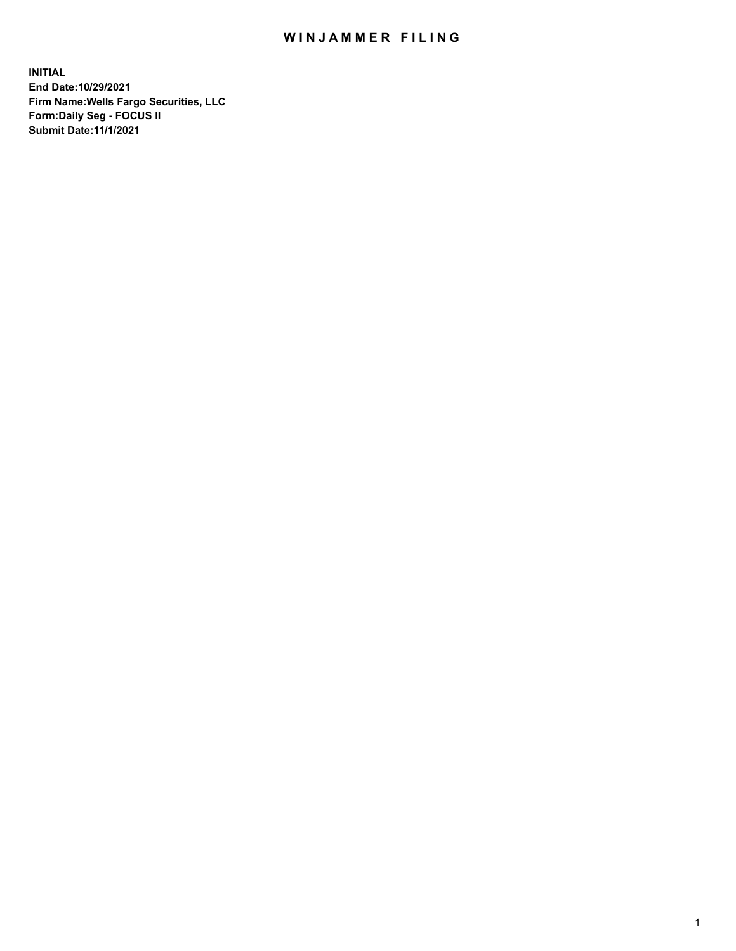## WIN JAMMER FILING

**INITIAL End Date:10/29/2021 Firm Name:Wells Fargo Securities, LLC Form:Daily Seg - FOCUS II Submit Date:11/1/2021**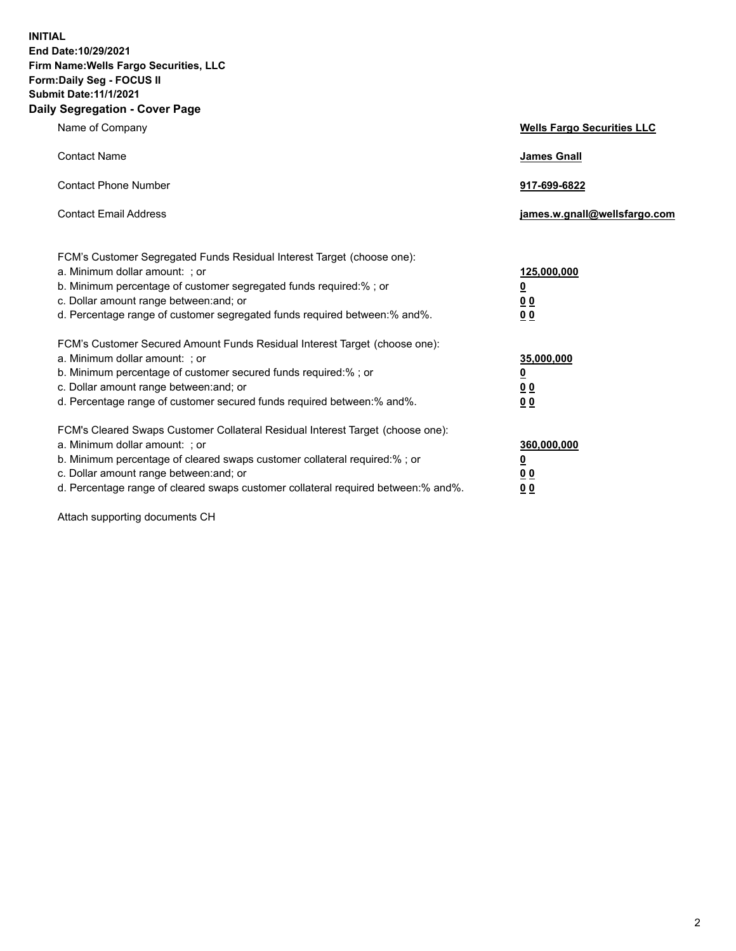**INITIAL End Date:10/29/2021 Firm Name:Wells Fargo Securities, LLC Form:Daily Seg - FOCUS II Submit Date:11/1/2021 Daily Segregation - Cover Page**

| Name of Company                                                                                                                                                                                                                                                                                                               | <b>Wells Fargo Securities LLC</b>                          |
|-------------------------------------------------------------------------------------------------------------------------------------------------------------------------------------------------------------------------------------------------------------------------------------------------------------------------------|------------------------------------------------------------|
| <b>Contact Name</b>                                                                                                                                                                                                                                                                                                           | <b>James Gnall</b>                                         |
| <b>Contact Phone Number</b>                                                                                                                                                                                                                                                                                                   | 917-699-6822                                               |
| <b>Contact Email Address</b>                                                                                                                                                                                                                                                                                                  | james.w.gnall@wellsfargo.com                               |
| FCM's Customer Segregated Funds Residual Interest Target (choose one):<br>a. Minimum dollar amount: ; or<br>b. Minimum percentage of customer segregated funds required:% ; or<br>c. Dollar amount range between: and; or<br>d. Percentage range of customer segregated funds required between:% and%.                        | 125,000,000<br><u>0</u><br>0 <sub>0</sub><br>00            |
| FCM's Customer Secured Amount Funds Residual Interest Target (choose one):<br>a. Minimum dollar amount: ; or<br>b. Minimum percentage of customer secured funds required:%; or<br>c. Dollar amount range between: and; or<br>d. Percentage range of customer secured funds required between: % and %.                         | 35,000,000<br><u>0</u><br>0 <sub>0</sub><br>0 <sub>0</sub> |
| FCM's Cleared Swaps Customer Collateral Residual Interest Target (choose one):<br>a. Minimum dollar amount: ; or<br>b. Minimum percentage of cleared swaps customer collateral required:%; or<br>c. Dollar amount range between: and; or<br>d. Percentage range of cleared swaps customer collateral required between:% and%. | 360,000,000<br><u>0</u><br>00<br>00                        |

Attach supporting documents CH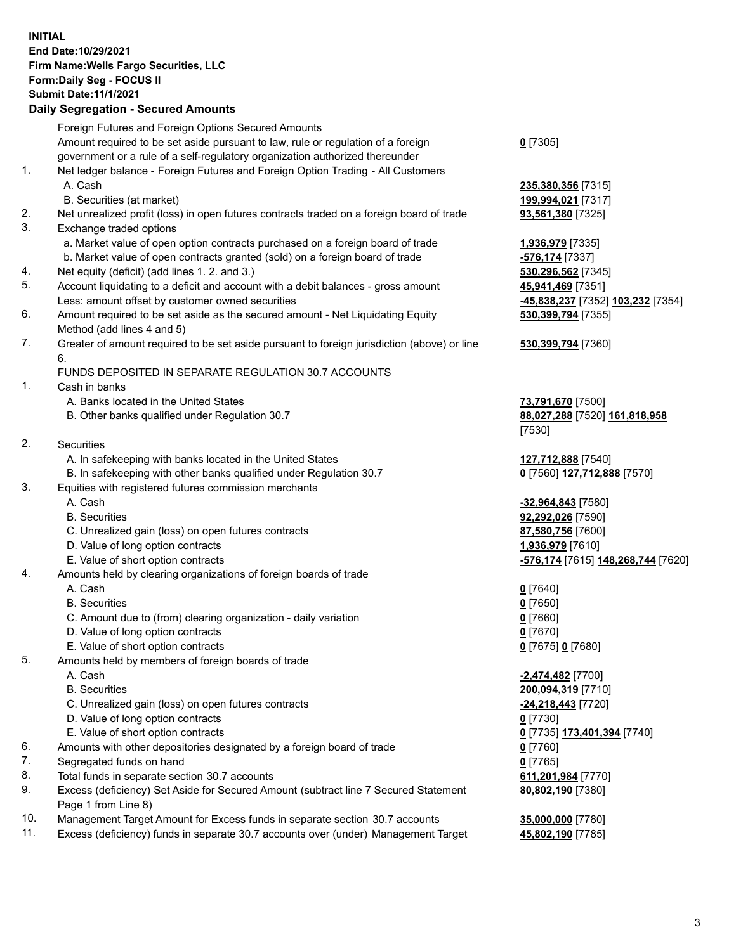**INITIAL End Date:10/29/2021 Firm Name:Wells Fargo Securities, LLC Form:Daily Seg - FOCUS II Submit Date:11/1/2021**

## **Daily Segregation - Secured Amounts**

|     | Foreign Futures and Foreign Options Secured Amounts                                         |                                    |
|-----|---------------------------------------------------------------------------------------------|------------------------------------|
|     | Amount required to be set aside pursuant to law, rule or regulation of a foreign            | $0$ [7305]                         |
|     | government or a rule of a self-regulatory organization authorized thereunder                |                                    |
| 1.  | Net ledger balance - Foreign Futures and Foreign Option Trading - All Customers             |                                    |
|     | A. Cash                                                                                     | 235,380,356 [7315]                 |
|     | B. Securities (at market)                                                                   | 199,994,021 [7317]                 |
| 2.  | Net unrealized profit (loss) in open futures contracts traded on a foreign board of trade   | 93,561,380 [7325]                  |
| 3.  | Exchange traded options                                                                     |                                    |
|     | a. Market value of open option contracts purchased on a foreign board of trade              | 1,936,979 [7335]                   |
|     | b. Market value of open contracts granted (sold) on a foreign board of trade                | -576,174 [7337]                    |
| 4.  | Net equity (deficit) (add lines 1. 2. and 3.)                                               | 530,296,562 [7345]                 |
| 5.  | Account liquidating to a deficit and account with a debit balances - gross amount           | 45,941,469 [7351]                  |
|     | Less: amount offset by customer owned securities                                            | -45,838,237 [7352] 103,232 [7354]  |
| 6.  | Amount required to be set aside as the secured amount - Net Liquidating Equity              | 530,399,794 [7355]                 |
|     | Method (add lines 4 and 5)                                                                  |                                    |
| 7.  | Greater of amount required to be set aside pursuant to foreign jurisdiction (above) or line | 530, 399, 794 [7360]               |
|     | 6.                                                                                          |                                    |
|     | FUNDS DEPOSITED IN SEPARATE REGULATION 30.7 ACCOUNTS                                        |                                    |
| 1.  | Cash in banks                                                                               |                                    |
|     | A. Banks located in the United States                                                       | 73,791,670 [7500]                  |
|     | B. Other banks qualified under Regulation 30.7                                              | 88,027,288 [7520] 161,818,958      |
|     |                                                                                             | [7530]                             |
| 2.  | <b>Securities</b>                                                                           |                                    |
|     | A. In safekeeping with banks located in the United States                                   | 127,712,888 [7540]                 |
|     | B. In safekeeping with other banks qualified under Regulation 30.7                          | 0 [7560] 127,712,888 [7570]        |
| 3.  | Equities with registered futures commission merchants                                       |                                    |
|     | A. Cash                                                                                     | -32,964,843 [7580]                 |
|     | <b>B.</b> Securities                                                                        | 92,292,026 [7590]                  |
|     | C. Unrealized gain (loss) on open futures contracts                                         | 87,580,756 [7600]                  |
|     | D. Value of long option contracts                                                           | 1,936,979 [7610]                   |
|     | E. Value of short option contracts                                                          | -576,174 [7615] 148,268,744 [7620] |
| 4.  | Amounts held by clearing organizations of foreign boards of trade                           |                                    |
|     | A. Cash                                                                                     | $0$ [7640]                         |
|     | <b>B.</b> Securities                                                                        | $0$ [7650]                         |
|     | C. Amount due to (from) clearing organization - daily variation                             | $0$ [7660]                         |
|     | D. Value of long option contracts                                                           | $0$ [7670]                         |
|     | E. Value of short option contracts                                                          | 0 [7675] 0 [7680]                  |
| 5.  | Amounts held by members of foreign boards of trade                                          |                                    |
|     | A. Cash                                                                                     | $-2,474,482$ [7700]                |
|     | <b>B.</b> Securities                                                                        | 200,094,319 [7710]                 |
|     | C. Unrealized gain (loss) on open futures contracts                                         | -24,218,443 [7720]                 |
|     | D. Value of long option contracts                                                           | $0$ [7730]                         |
|     | E. Value of short option contracts                                                          | 0 [7735] 173,401,394 [7740]        |
| 6.  | Amounts with other depositories designated by a foreign board of trade                      | $0$ [7760]                         |
| 7.  | Segregated funds on hand                                                                    | $0$ [7765]                         |
| 8.  | Total funds in separate section 30.7 accounts                                               | 611,201,984 [7770]                 |
| 9.  | Excess (deficiency) Set Aside for Secured Amount (subtract line 7 Secured Statement         | 80,802,190 [7380]                  |
|     | Page 1 from Line 8)                                                                         |                                    |
| 10. | Management Target Amount for Excess funds in separate section 30.7 accounts                 | 35,000,000 [7780]                  |

11. Excess (deficiency) funds in separate 30.7 accounts over (under) Management Target **45,802,190** [7785]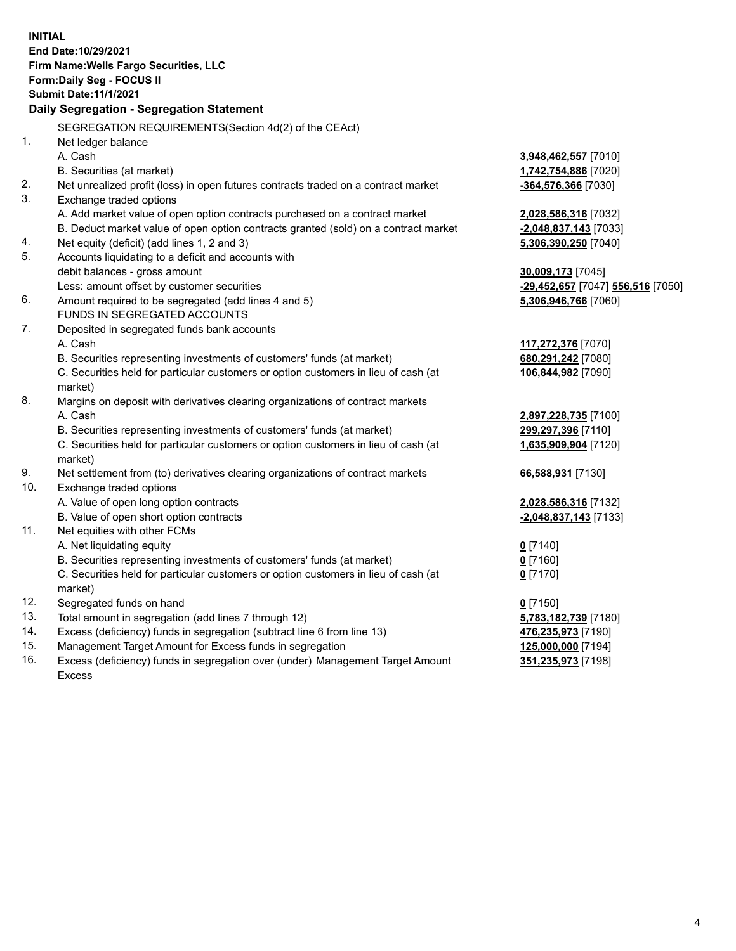**INITIAL End Date:10/29/2021 Firm Name:Wells Fargo Securities, LLC Form:Daily Seg - FOCUS II Submit Date:11/1/2021 Daily Segregation - Segregation Statement** SEGREGATION REQUIREMENTS(Section 4d(2) of the CEAct) 1. Net ledger balance A. Cash **3,948,462,557** [7010] B. Securities (at market) **1,742,754,886** [7020] 2. Net unrealized profit (loss) in open futures contracts traded on a contract market **-364,576,366** [7030] 3. Exchange traded options A. Add market value of open option contracts purchased on a contract market **2,028,586,316** [7032] B. Deduct market value of open option contracts granted (sold) on a contract market **-2,048,837,143** [7033] 4. Net equity (deficit) (add lines 1, 2 and 3) **5,306,390,250** [7040] 5. Accounts liquidating to a deficit and accounts with debit balances - gross amount **30,009,173** [7045] Less: amount offset by customer securities **-29,452,657** [7047] **556,516** [7050] 6. Amount required to be segregated (add lines 4 and 5) **5,306,946,766** [7060] FUNDS IN SEGREGATED ACCOUNTS 7. Deposited in segregated funds bank accounts A. Cash **117,272,376** [7070] B. Securities representing investments of customers' funds (at market) **680,291,242** [7080] C. Securities held for particular customers or option customers in lieu of cash (at market) **106,844,982** [7090] 8. Margins on deposit with derivatives clearing organizations of contract markets A. Cash **2,897,228,735** [7100] B. Securities representing investments of customers' funds (at market) **299,297,396** [7110] C. Securities held for particular customers or option customers in lieu of cash (at market) **1,635,909,904** [7120] 9. Net settlement from (to) derivatives clearing organizations of contract markets **66,588,931** [7130] 10. Exchange traded options A. Value of open long option contracts **2,028,586,316** [7132] B. Value of open short option contracts **-2,048,837,143** [7133] 11. Net equities with other FCMs A. Net liquidating equity **0** [7140] B. Securities representing investments of customers' funds (at market) **0** [7160] C. Securities held for particular customers or option customers in lieu of cash (at market) **0** [7170] 12. Segregated funds on hand **0** [7150] 13. Total amount in segregation (add lines 7 through 12) **5,783,182,739** [7180] 14. Excess (deficiency) funds in segregation (subtract line 6 from line 13) **476,235,973** [7190] 15. Management Target Amount for Excess funds in segregation **125,000,000** [7194] 16. Excess (deficiency) funds in segregation over (under) Management Target Amount **351,235,973** [7198]

Excess